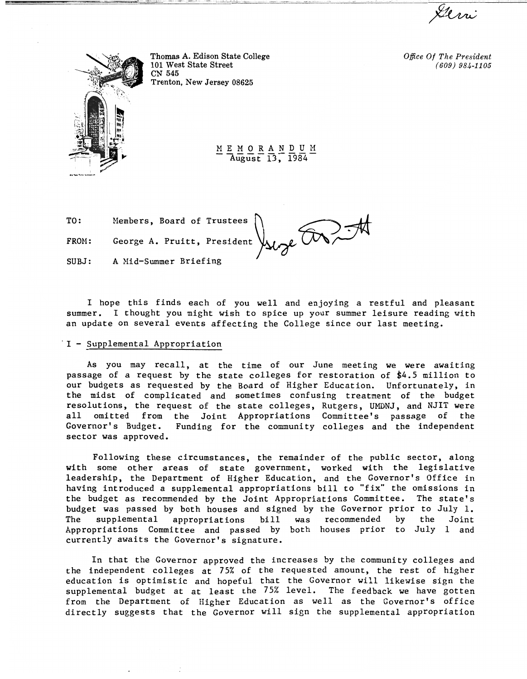

Thomas A. Edison State College *Office Of The President Office Of The President (609)* 984-1105 101 West State Street *(609) 984-1105*  CN 545 Trenton, New Jersey 08625

HEMORANDUH  $\overline{\text{August}}$  13, 1984

TO: FROM: SUBJ: Members, Board of Trustees  $\bigcap$ George A. Pruitt, President  $\bigvee_{\mathcal{M}}$  of  $\bigcirc$ A Hid-Summer Briefing

I hope this finds each of you well and enjoying a restful and pleasant summer. I thought you might wish to spice up your summer leisure reading with an update on several events affecting the College since our last meeting.

#### . I - Supplemental Appropriation

As you may recall, at the time of our June meeting we were awaiting passage of a request by the state colleges for restoration of \$4.5 million to our budgets as requested by the Board of Higher Education. Unfortunately, in the midst of complicated and sometimes confusing treatment of the budget resolutions, the request of the state colleges, Rutgers, UMDNJ, and NJIT were all omitted from the Joint Appropriations Committee's passage of the Governor's Budget. Funding for the community colleges and the independent Funding for the community colleges and the independent sector was approved.

Following these circumstances, the remainder of the public sector, along with some other areas of state government, worked with the legislative leadership, the Department of Higher Education, and the Governor's Office in having introduced a supplemental appropriations bill to "fix" the omissions in the budget as recommended by the Joint Appropriations Committee. The state's budget was passed by both houses and signed by the Governor prior to July 1. The supplemental appropriations bill was recommended by the Joint Appropriations Committee and passed by both houses prior to July 1 and currently awaits the Governor's signature.

In that the Governor approved the increases by the community colleges and the independent colleges at 75% of the requested amount, the rest of higher education is optimistic and hopeful that the Governor will likewise sign the supplemental budget at at least the 75% level. The feedback we have gotten from the Department of Higher Education as well as the Governor's office directly suggests that the Governor will sign the supplemental appropriation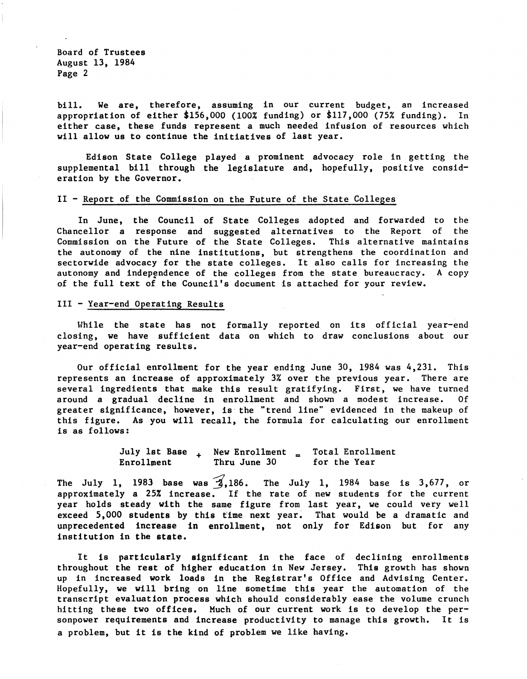bill. We are, therefore, assuming in our current budget, an increased appropriation of either \$156,000 (100% funding) or \$117,000 (75% funding). In either case, these funds represent a much needed infusion of resources which will allow us to continue the initiatives of last year.

Edison State College played a prominent advocacy role in getting the supplemental bill through the legislature and, hopefully, positive consideration by the Governor.

## II - Report of the Commission on the Future of the State Colleges

In June, the Council of State Colleges adopted and forwarded to the Chancellor a response and suggested alternatives to the Report of the Commission on the Future of the State Colleges. This alternative maintains the autonomy of the nine institutions, but strengthens the coordination and sectorwide advocacy for the state colleges. It also calls for increasing the autonomy and independence of the colleges from the state bureaucracy. A copy of the full text of the Council's document is attached for your review.

#### III - Year-end Operating Results

While the state has not formally reported on its official year-end closing, we have sufficient data on which to draw conclusions about our year-end operating results.

Our official enrollment for the year ending June 30, 1984 was 4,231. This represents an increase of approximately 3% over the previous year. There are several ingredients that make this result gratifying. First, we have turned around a gradual decline in enrollment and shown a modest increase. Of greater significance, however, is· the "trend line" evidenced in the makeup of this figure. As you will recall, the formula for calculating our enrollment is as follows:

> July 1st Base + New Enrollment = Total Enrollment<br>Enrollment + Thru June 30 for the Year Enrollment for the Year

The July 1, 1983 base was  $3,186$ . The July 1, 1984 base is 3,677, or approximately a 25% increase. If the rate of new students for the current year holds steady with the same figure from last year, we could very well exceed 5,000 students by this time next year. That would be a dramatic and unprecedented increase in enrollment. not only for Edison but for any institution in the state.

It is particularly significant in the face of declining enrollments throughout the rest of higher education in New Jersey. This growth has shown up in increased work loads in the Registrar's Office and Advising Center. Hopefully, we will bring on line sometime this year the automation of the transcript evaluation process which should considerably ease the volume crunch hitting these two offices. Much of our current work is to develop the personpower requirements and increase productivity to manage this growth. It is a problem, but it is the kind of problem we like having.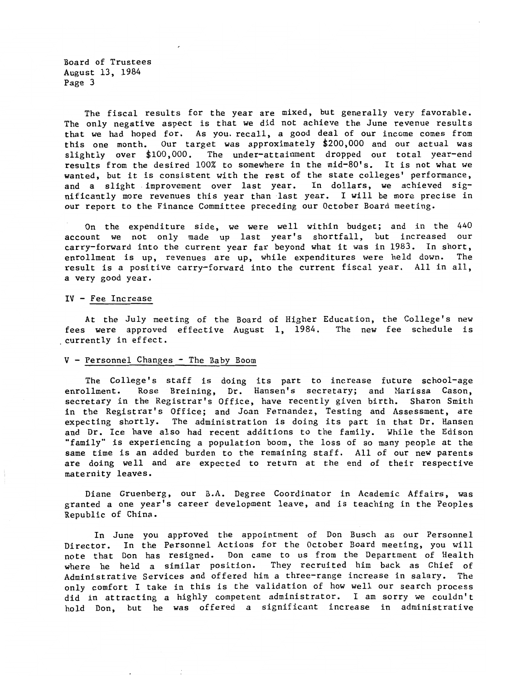The fiscal results for the year are mixed, but generally very favorable. The only negative aspect is that we did not achieve the June revenue results that we had hoped for. As you. recall, a good deal of our income comes from this one month. Our target was approximately \$200,000 and our actual was slightly over \$100,000. The under-attainment dropped our total year-end results from the desired 100% to somewhere in the mid-80's. It is not what we wanted, but it is consistent with the rest of the state colleges' performance, and a slight improvement over last year. In dollars, we achieved significantly more revenues this year than last year. I will be more precise in our report to the Finance Committee preceding our October Board meeting.

On the expenditure side, we were well within budget; and in the 440 account we not only made up last year's shortfall, but increased our carry-forward into the current year far beyond what it was in 1983. In short, enrollment is up, revenues are up, while expenditures were held down. The result is a positive carry-forward into the current fiscal year. All in all, a very good year.

## IV - Fee Increase

At the July meeting of the Board of Higher Education, the College's new<br>were approved effective August 1, 1984. The new fee schedule is fees were approved effective August 1, 1984. . currently in effect.

#### $V -$  Personnel Changes - The Baby Boom

The College's staff is doing its part to increase future school-age enrollment. Rose Breining, Dr. Hansen's secretary; and Marissa Cason, secretary in the Registrar's Office, have recently given birth. Sharon Smith in the Registrar's Office; and Joan Fernandez, Testing and Assessment, are expecting shortly. The administration is doing its part in that Dr. Hansen and Dr. Ice have also had recent additions to the family. While the Edison "family" is experiencing a population boom, the loss of so many people at the same time is an added burden to the remaining staff. All of our new parents are doing well and are expected to return at the end of their respective maternity leaves.

Diane Gruenberg, our B.A. Degree Coordinator in Academic Affairs, was granted a one year's career development leave, and is teaching in the Peoples Republic of China.

In June you approved the appointment of Don Busch as our Personnel Director. In the Personnel Actions for the October Board meeting, you will note that Don has resigned. Don came to us from the Department of Health where he held a similar position. They recruited him back as Chief of Administrative Services and offered him a three-range increase in salary. The only comfort I take in this is the validation of how well our search process did in attracting a highly competent administrator. I am sorry we couldn't hold Don, but he was offered a significant increase in administrative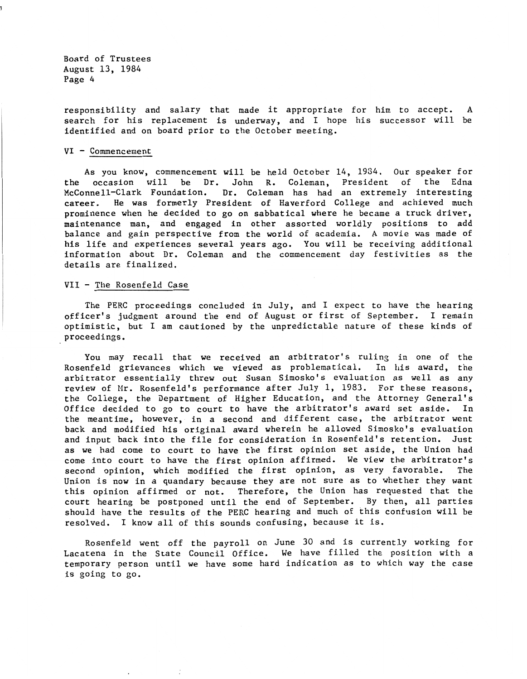responsibility and salary that made it appropriate for him to accept. A search for his replacement is underway, and I hope his successor will be identified and on board prior to the October meeting.

#### VI - Commencement

As you know, commencement will be held October 14, 1934. Our speaker for<br>occasion will be Dr. John R. Coleman, President of the Edna the occasion viII be Dr. John R. Coleman, President of the Edna McConnell-Clark Foundation. Dr. Coleman has had an extremely interesting career. He was formerly President of Haverford College and achieved much prominence when he decided to go on sabbatical where he became a truck driver, maintenance man, and engaged in other assorted worldly positions to add balance and gain perspective from the world of academia. A movie was made of his life and experiences several years ago. You will be receiving additional information about Dr. Coleman and the commencement day festivities as the details are finalized.

#### VII - The Rosenfeld Case

The PERC proceedings concluded in July, and I expect to have the hearing officer's judgment around the end of August or first of September. I remain optimist ie, but I am cautioned by the unpredictable nature of these kinds of proceedings.

You may recall that we received an arbitrator's ruling in one of the Rosenfeld grievances which we viewed as problematical. In his award, the arbitrator essentially threw out Susan Simosko's evaluation as well as any review of Hr. Rosenfeld's performance after July 1, 1983. For these reasons, the College, the Department of Higher Education, and the Attorney General's Office decided to go to court to have the arbitrator's award set aside. In the meantime, however, in a second and different case, the arbitrator went back and modified his original award wherein he allowed Simosko's evaluation and input back into the file for consideration in Rosenfeld's retention. Just as we had come to court to have the first opinion set aside, the Union had come into court to have the first opinion affirmed. We view the arbitrator's<br>second opinion, which modified the first opinion, as very favorable. The second opinion, which modified the first opinion, as very favorable. Union is now in a quandary because they are not sure as to whether they want this opinion affirmed or not. Therefore, the Union has requested that the court hearing be postponed until the end of September. By then, all parties should have the results of the PERC hearing and much of this confusion will be resolved. I know all of this sounds confusing, because it is.

Rosenfeld went off the payroll on June 30 and is currently working for Lacatena in the State Council Office. We have filled the position with a temporary person until we have some hard indication as to which way the case is going to go.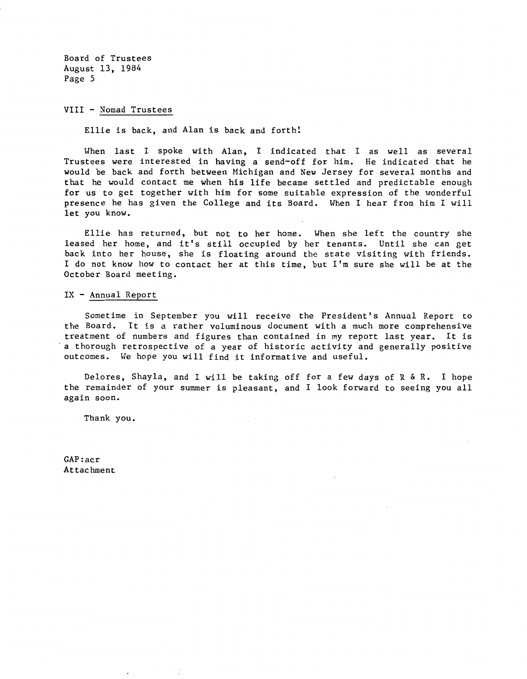#### VIII - Nomad Trustees

Ellie is back, and Alan is back and forth!

When last I spoke with Alan, I indicated that I as well as several Trustees were interested in having a send-off for him. He indicated that he would be back and forth between Michigan and New Jersey for several months and that he would contact me when his life became settled and predictable enough for us to get together with him for some suitable expression of the wonderful presence he has given the College and its Board. When I hear from him I will let you know.

Ellie has returned, but not to her home. When she left the country she leased her home, and it's still occupied by her tenants. Until she can get back into her house, she is floating around the state visiting with friends. I do not know how to contact her at this time, but I'm sure she will be at the October Board meeting.

## IX - Annual Report

Sometime in September you will receive the President's Annual Report to the Board. It is a rather voluminous document with a much more comprehensive treatment of numbers and figures than contained in my report last year. It is . a thorough retrospective of a year of historic activity and generally positive outcomes. We hope you will find it informative and useful.

Delores, Shayla, and I will be taking off for a few days of R & R. I hope the remainder of your summer is pleasant, and I look forward to seeing you all again soon.

Thank you.

GAP:acr Attachment.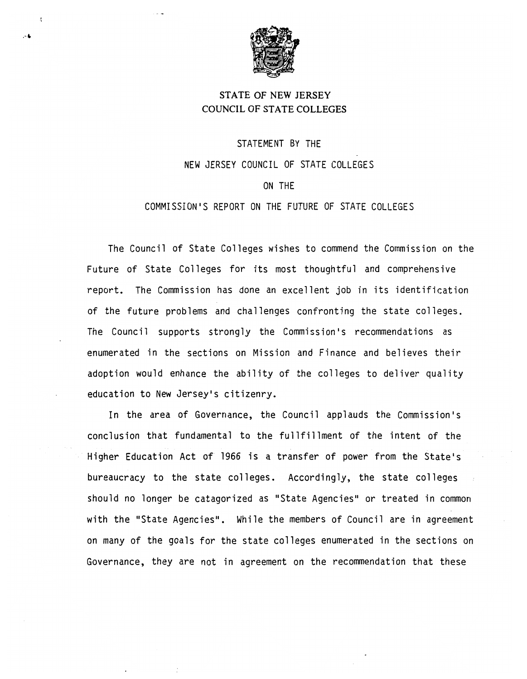

# STATE OF NEW JERSEY COUNCIL OF STATE COLLEGES

STATEMENT BY THE NEW JERSEY COUNCIL OF STATE COLLEGES

## ON THE

COMMISSION'S REPORT ON THE FUTURE OF STATE COLLEGES

The Council of State Colleges wishes to commend the Commission on the Future of State Colleges for its most thoughtful and comprehensive report. The Commission has done an excellent job in its identification of the future problems and challenges confronting the state colleges. The Council supports strongly the Commission's recommendations as enumerated in the sections on Mission and Finance and believes their adoption would enhance the ability of the colleges to deliver quality education to New Jersey's citizenry.

In the area of Governance, the Council applauds the Commission's conclusion that fundamental to the fullfillment of the intent of the . Higher Education Act of 1966 is a transfer of power from the State's bureaucracy to the state colleges. Accordingly, the state colleges should no longer be catagorized as "State Agencies" or treated in common with the "State Agencies". While the members of Council are in agreement on many of the goals for the state colleges enumerated in the sections on Governance, they are not in agreement on the recommendation that these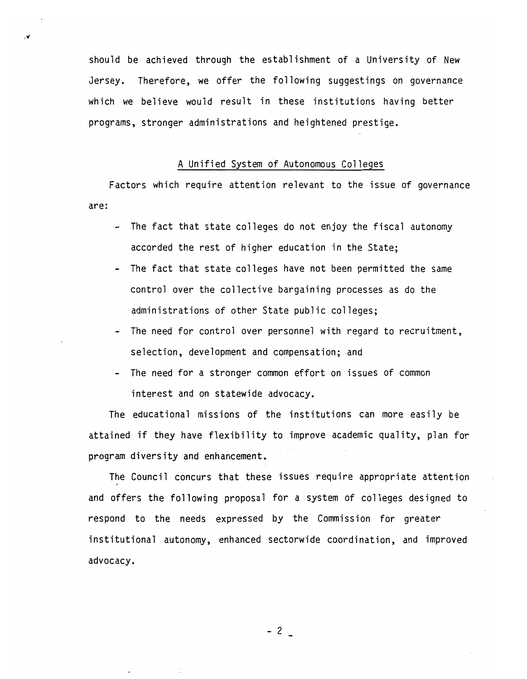should be achieved through the establishment of a University of New Jersey. Therefore, we offer the following suggestings on governance which we believe would result in these institutions having better programs, stronger administrations and heightened prestige.

.Y

#### A Unified System of Autonomous Colleges

Factors which require attention relevant to the issue of governance are:

- The fact that state colleges do not enjoy the fiscal autonomy accorded the rest of higher education in the State;
- The fact that state colleges have not been permitted the same control over the collective bargaining processes as do the administrations of other State public colleges;
- The need for control over personnel with regard to recruitment, selection, development and compensation; and
- The need for a stronger common effort on issues of common interest and on statewide advocacy.

The educational missions of the institutions can more easily be attained if they have flexibility to improve academic quality, plan for program diversity and enhancement.

The Council concurs that these issues require appropriate attention and offers the following proposal for a system of colleges designed to respond to the needs expressed by the Commission for greater institutional autonomy, enhanced sectorwide coordination, and improved advocacy.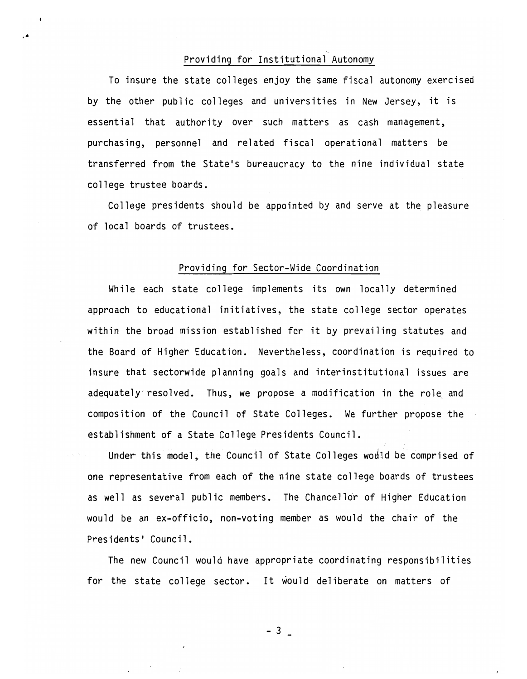## Providing for Institutional Autonomy

To insure the state colleges enjoy the same fiscal autonomy exercised by the other public colleges and universities in New Jersey, it is essential that authority over such matters as cash management, purchasing, personnel and related fiscal operational matters be transferred from the State's bureaucracy to the nine individual state college trustee boards.

College presidents should be appointed by and serve at the pleasure of local boards of trustees.

### Providing for Sector-Wide Coordination

While each state college implements its own locally determined approach to educational initiatives, the state college sector operates within the broad mission established for it by prevailing statutes and the Board of Higher Education. Nevertheless, coordination is required to insure that sectorwide planning goals and interinstitutional issues are adequately resolved. Thus, we propose a modification in the role and composition of the Council of State Colleges. We further propose the establishment of a State College Presidents Council.

Under this model, the Council of State Colleges would be comprised of one representative from each of the nine state college boards of trustees as well as several public members. The Chancellor of Higher Education would be an ex-officio, non-voting member as would the chair of the Presidents' Council.

The new Council would have appropriate coordinating responsibilities for the state college sector. It would deliberate on matters of

 $- 3 -$